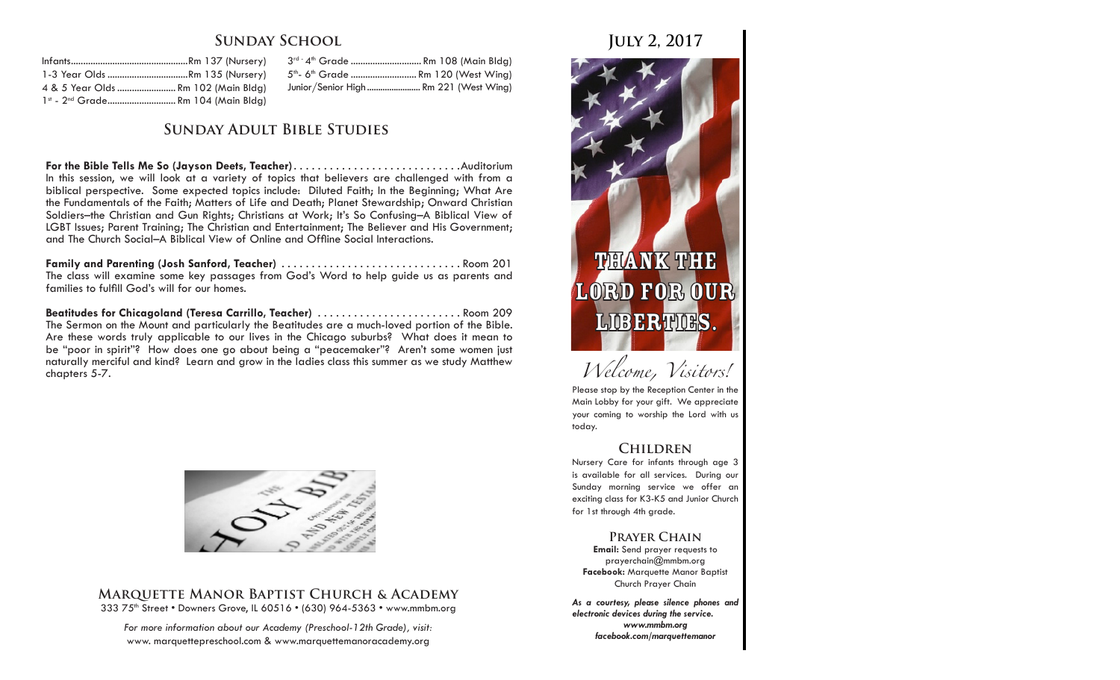## **Sunday School**

| 1-3 Year Olds Rm 135 (Nursery)                 |  |
|------------------------------------------------|--|
| 4 & 5 Year Olds  Rm 102 (Main Bldg)            |  |
| 1st - 2 <sup>nd</sup> Grade Rm 104 (Main Bldg) |  |

3<sup>rd -</sup> 4<sup>th</sup> Grade ............................... Rm 108 (Main Bldg) 5<sup>th</sup>- 6<sup>th</sup> Grade ............................. Rm 120 (West Wina) Junior/Senior High ........................ Rm 221 (West Wing)

### **Sunday Adult Bible Studies**

**For the Bible Tells Me So (Jayson Deets, Teacher)**. Auditorium In this session, we will look at a variety of topics that believers are challenged with from a biblical perspective. Some expected topics include: Diluted Faith; In the Beginning; What Are the Fundamentals of the Faith; Matters of Life and Death; Planet Stewardship; Onward Christian Soldiers–the Christian and Gun Rights; Christians at Work; It's So Confusing–A Biblical View of LGBT Issues; Parent Training; The Christian and Entertainment; The Believer and His Government; and The Church Social–A Biblical View of Online and Offline Social Interactions.

**Family and Parenting (Josh Sanford, Teacher)**. Room 201 The class will examine some key passages from God's Word to help guide us as parents and families to fulfill God's will for our homes.

Beatitudes for Chicagoland (Teresa Carrillo, Teacher) ............................ Room 209 The Sermon on the Mount and particularly the Beatitudes are a much-loved portion of the Bible. Are these words truly applicable to our lives in the Chicago suburbs? What does it mean to be "poor in spirit"? How does one go about being a "peacemaker"? Aren't some women just naturally merciful and kind? Learn and grow in the ladies class this summer as we study Matthew chapters 5-7.



#### **Marquette Manor Baptist Church & Academy** 333 75<sup>th</sup> Street • Downers Grove, IL 60516 • (630) 964-5363 • www.mmbm.org

*For more information about our Academy (Preschool-12th Grade), visit:* www. marquettepreschool.com & www.marquettemanoracademy.org

# **July 2, 2017**



*Welcome, Visitors!*

Please stop by the Reception Center in the Main Lobby for your gift. We appreciate your coming to worship the Lord with us today.

## **Children**

Nursery Care for infants through age 3 is available for all services. During our Sunday morning service we offer an exciting class for K3-K5 and Junior Church for 1st through 4th grade.

#### **Prayer Chain**

**Email:** Send prayer requests to prayerchain@mmbm.org **Facebook:** Marquette Manor Baptist Church Prayer Chain

*As a courtesy, please silence phones and electronic devices during the service. www.mmbm.org facebook.com/marquettemanor*